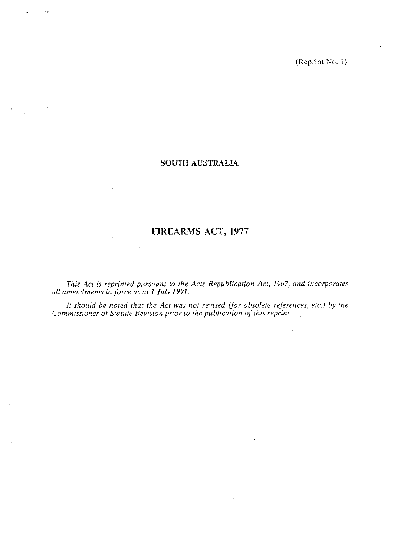(Reprint No. 1)

 $\epsilon$ 

 $\sim 10^{-10}$ 

# **SOUTH AUSTRALIA**

الفارد

 $\sim 10$ 

# **FIREARMS ACT, 1977**

 $\sim 10^{11}$ 

 $\mathcal{A}$ 

*This Act is reprinted pursuant to the Acts Republication Act, 1967, and incorporutes all amendments in force as at* **1** *July* **1991.** 

It should be noted that the Act was not revised (for obsolete references, etc.) by the *Commissioner of Statute Revision prior to the publication of lkis reprint.* 

 $\sim 10$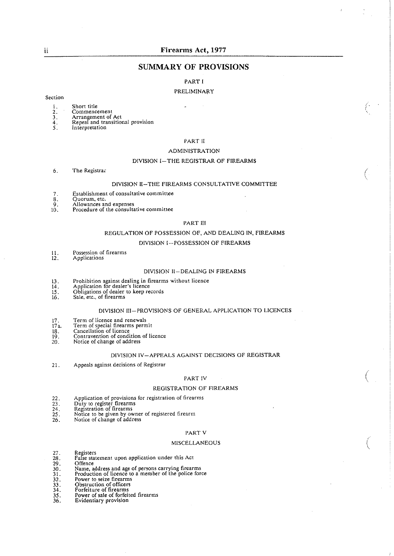# 11 Firearms **Act,** 1977

# **SUMMARY OF PROVISIONS**

#### PART l

## PRELIMINARY

#### Section

- Short title<br>Commencement  $\mathbf{I}$
- $\overline{2}$ .
- $\overline{3}$ . Arrangement of Act
- Repeal and transitional provision  $\overline{4}$ .
- Š. Interpretation

# PART I1

#### ADMINISTRATION

#### DIVISION I-THE REGISTRAR OF FIREARMS

6. The Registra;

#### DIVISION II-THE FIREARMS CONSULTATIVE COMMITTEE

- Establishment of consultative committee
- $\begin{array}{c} 7. \\ 8. \\ 9. \end{array}$ Quorum, etc.<br>Allowances and expenses
- 
- $10.$ Procedure of the consultative committee

## PART 111

#### REGULATION OF POSSESSION OF, AND DEALING IN. FIREARMS

#### DIVISION I-POSSESSION OF FIREARMS

- Possession of firearms  $\frac{11}{12}$ .
- **Applications**

#### DIVISION II-DEALING IN FIREARMS

- 13. Prohibition against dealing in firearms without licence
- $14.$ Application for dealer's licence<br>Obligations of dealer to keep records
- $\frac{15}{16}$
- Sale, etc., of firearms

## DIVISION III-PROVISIONS OF GENERAL APPLICATION TO LICENCES

- 17. Term of licence and renewals Term of soeciai firearms oermit
- $17a$ .
- $\frac{18}{19}$
- Notice of change of address
- 20.

#### DIVISION IV-APPEALS AGAINST DECISIONS OF REGISTRAR

Appeals against decisions of Registrar 21.

#### PART **IV**

#### REGISTRATION OF FIREARMS

- Application of provisions for registration of firearms
- 
- 
- $\frac{22}{23}$ <br> $\frac{23}{24}$ <br> $\frac{25}{25}$ Duty to register firearms<br>Registration of firearms<br>Votice to be given by owner of registered firearm
- $\frac{26}{3}$ Notice of change of address

#### PART V

#### MISCELLANEOUS

- 
- Registers False statement upon application under this Act
- $\frac{27}{28}$ <br> $\frac{28}{29}$ <br> $\frac{30}{21}$ Offence
- Name, address and age of persons carrying firearms Production of licence to a member of the pollce force
- 31.
- 
- $\frac{32}{33}$ .<br>33.
- but it state intermediate.<br>Torfeiture of firearms
- Power of sale of forfeited firearms  $\overline{35}$ . 36.
- Evidentiary provision

. .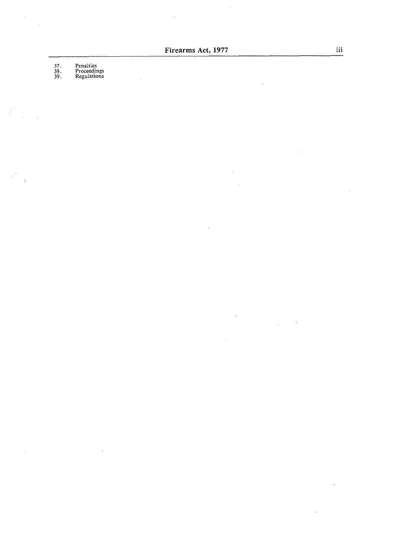**Firearms Act. 1977** iii

J.

 $\ddot{\phantom{a}}$ 

l,

÷.

l,

# 7. Penalties<br>8*.* Proceedings<br>9. Regulations

 $\ddot{\phantom{0}}$ 

Ť

 $\bar{z}$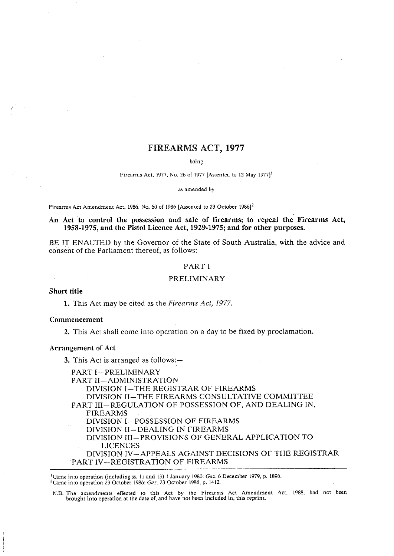# **FIREARMS ACT, 1977**

#### being

#### Firearms Act. 1977. No. 26 of 1977 [Assented to 12 **May** 19771'

#### as amended by

Firearms Act Amendment Act. 1986. No. 60 of 1986 [Assented to 23 October 1986j2

# **An Act to control the possession and sale of firearms; to repeal the Firearms Act, 1958-1975, and the Pistol Licence Act, 1929-197s; and for other purposes.**

BE IT ENACTED by the Governor of the State of South Australia, with the advice and consent of the Parliament thereof, as follows:

# PART I

#### PRELIMINARY

**Short title** 

**1.** This Act may be cited as the Firearms *Act,* 1977.

#### **Commencement**

**2.** This Act shall come into operation on a day to be fixed by proclamation.

#### **Arrangement of Act**

**3.** This Act is arranged as follows:-

PART I-PRELIMINARY PART II-ADMINISTRATION DIVISION I-THE REGISTRAR OF FIREARMS DIVISION 11-THE FIREARMS CONSULTATIVE COMMITTEE PART 111-REGULATION OF POSSESSION OF, AND DEALING IN, FIREARMS DIVISION I-POSSESSION OF FIREARMS DIVISION 11-DEALING IN FIREARMS DIVISION 111-PROVISIONS OF GENERAL APPLICATION TO LICENCES DIVISION IV-APPEALS AGAINST DECISIONS OF THE REGISTRAR PART IV-REGISTRATION OF FIREARMS

'Came into operation (including ss. I1 and 13) 1 January 1980: **Gaz.** *6* December 1979, p. 1896. =Came into operation 23 October 1986: **Gaz.** 23 October 1986. p. 1412.

N.B. The amendments effected to this Act by the Firearms Act Amendment Act. 1988, had not been brought into operation at the date of, and have not been included in, this reprint.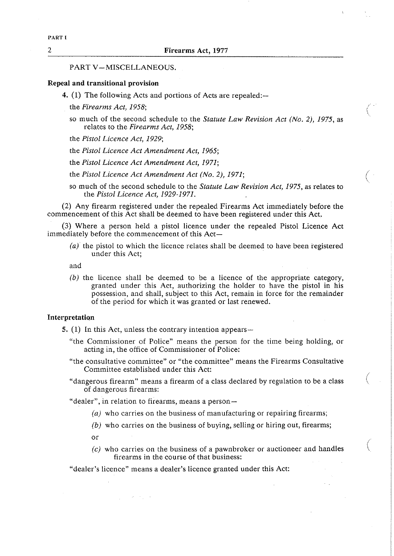#### PART V-MISCELLANEOUS.

#### Repeal and transitional provision

- 4. (1) The following Acts and portions of Acts are repealed:
	- the *Firearms Act, 1958;*
	- so much of the second schedule to the *Statute Law Revision Act (No. 2), 1975,* as relates to the *Firearms Act, 1958;*

the *Pistol Licence Act, 1929;* 

the *Pistol Licence Act Amendment Act, 1965;* 

the *Pistol Licence Act Amendment Act, 1971;* 

the *Pistol Licence Act Amendment Act (No.* 2), *1971;* 

so much of the second schedule to the *Statute Law Revision Act, 1975,* as relates to the *Pistol Licence Act, 1929-1971.* 

(2) Any firearm registered under the repealed Firearms Act immediately before the commencement of this Act shall be deemed to have been registered under this Act.

**(3)** Where a person held a pistol licence under the repealed Pistol Licence Act immediately before the commencement of this Act-

*(a)* the pistol to which the licence relates shall be deemed to have been registered under this Act;

and

*(bj* the licence shall be deemed to be a licence of the appropriate category, granted under this Act, authorizing the holder to have the pistol in his possession, and shall, subject to this Act, remain in force for the remainder of the period for which it was granted or last renewed.

#### Interpretation

- 5. (1) In this Act, unless the contrary intention appears—
	- "the Commissioner of Police" means the person for the time being holding, or acting in, the office of Commissioner of Police:
	- "the consultative committee" or "the committee" means the Firearms Consultative Committee established under this Act:
	- "dangerous firearm" means a firearm of a class declared by regulation to be a class of dangerous firearms:

"dealer", in relation to firearms, means a person-

 $\sim 10^{11}$  , where  $\sim 10^{11}$ 

- *(a)* who carries on the business of manufacturing or repairing firearms;
- *(bj* who carries on the business of buying, selling or hiring out, firearms;
- or
- *(c)* who carries on the business of a pawnbroker or auctioneer and handles firearms in the course of that business:

"dealer's licence" means a dealer's licence granted under this Act: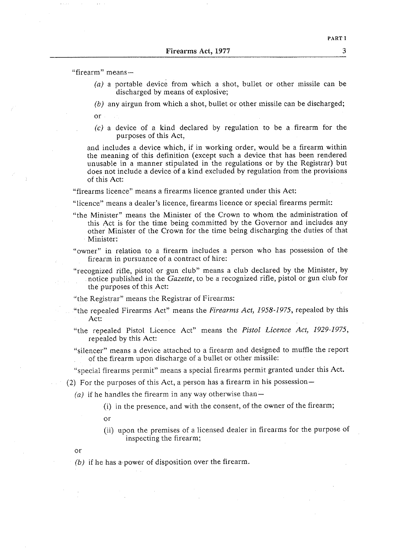"firearm" means-

- *(a)* a portable device from which a shot, bullet or other missile can be discharged by means of explosive;
- *(6)* any airgun from which a shot, bullet or other missile can be discharged;
- or
- *(c)* a device of a kind declared by regulation to be a firearm for the purposes of this Act,

and includes a device which, if in working order, would be a firearm within the meaning of this definition (except such a device that has been rendered unusable in a manner stipulated in the regulations or by the Registrar) but does not include a device of a kind excluded by regulation from the provisions of this Act:

"firearms licence" means a firearms licence granted under this Act:

"licence" means a dealer's licence, firearms licence or special firearms permit:

- "the Minister" means the Minister of the Crown to whom the administration of this Act is for the time being committed by the Governor and includes any other Minister of the Crown for the time being discharging the duties of that Minister:
- "owner" in relation to a firearm includes a person who has possession of the firearm in pursuance of a contract of hire:
- "recognized rifle, pistol or gun club" means a club declared by the Minister, by notice published in the *Gazette,* to be a recognized rifle, pistol or gun club for the purposes of this Act:
- "the Registrar" means the Registrar of Firearms:
- "the repealed Firearms Act" means the *Firearms* Act, *1958-1975,* repealed by this Act:
- "the repealed Pistol Licence Act" means the *Pistol Licence Act, 1929-1975,*  repealed by this Act:
- "silencer" means a device attached to a firearm and designed to muffle the report of the firearm upon discharge of a bullet or other missile:

"special firearms permit" means a special firearms permit granted under this Act.

(2) For the purposes of this Act, a person has a firearm in his possession-

 $(a)$  if he handles the firearm in any way otherwise than-

- (i) in the presence, and with the consent, of the owner of the firearm;
- or
- (ii) upon the premises of a licensed dealer in firearms for the purpose of inspecting the firearm;
- or
- (b) if he has a power of disposition over the firearm.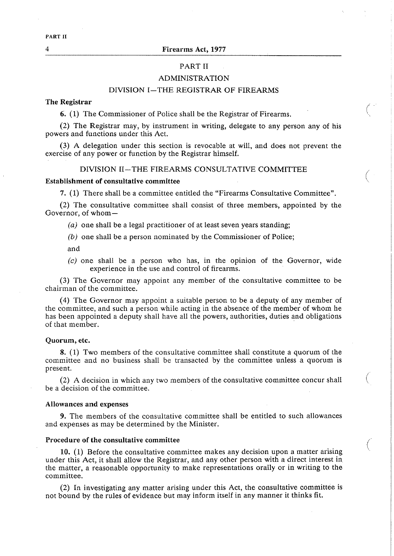# PART I1

# ADMINISTRATION

## DIVISION I-THE REGISTRAR OF FIREARMS

#### The Registrar

*6.* (1) The Commissioner of Police shall be the Registrar of Firearms.

(2) The Registrar may, by instrument in writing, delegate to any person any of his powers and functions under this Act.

(3) A delegation under this section is revocable at will, and does not prevent the exercise of any power or function by the Registrar himself.

#### DIVISION 11-THE FIREARMS CONSULTATIVE COMMITTEE

#### Establishment of consultative committee

**7.** (1) There shall be a committee entitled the "Firearms Consultative Committee".

(2) The consultative committee shall consist of three members, appointed by the Governor, of whom-

(a) one shall be a legal practitioner of at least seven years standing;

(b) one shall be a person nominated by the Commissioner of Police;

and

(c) one shall be a person who has, in the opinion of the Governor, wide experience in the use and control of firearms.

(3) The Governor may appoint any member of the consultative committee to be chairman of the committee.

(4) The Governor may appoint a suitable person to be a deputy of any member of the committee, and such a person while acting in the absence of the member of whom he has been appointed a deputy shall have all the powers, authorities, duties and obligations of that member.

#### Quorum, etc.

**8.** (1) Two members of the consultative committee shall constitute a quorum of the committee and no business shall be transacted by the committee unless a quorum is present.

(2) A decision in which any two members of the consultative committee concur shall be a decision of the committee.

#### Allowances and expenses

9. The members of the consultative committee shall be entitled to such allowances and expenses as may be determined by the Minister.

#### Procedure of the consultative committee

**10.** (1) Before the consultative committee makes any decision upon a matter arising under this Act, it shall allow the Registrar, and any other person with a direct interest in the matter, a reasonable opportunity to make representations orally or in writing to the committee.

(2) In investigating any matter arising under this Act, the consultative committee is not bound by the rules of evidence but may inform itself in any manner it thinks fit.

**PART 11**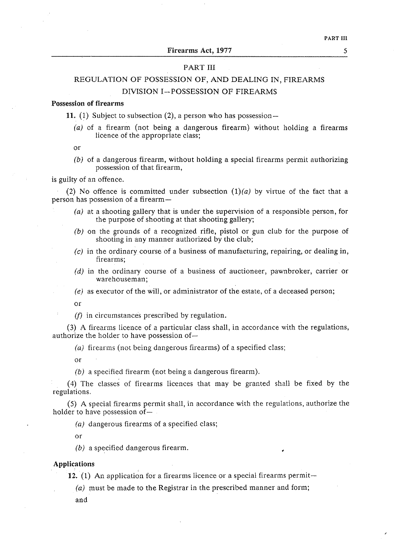**5** 

#### PART III

# REGULATION OF POSSESSION OF, AND DEALING IN, FIREARMS DIVISION I-POSSESSION OF FIREARMS

## Possession of firearms

11. (1) Subject to subsection (2), a person who has possession-

(a) of a firearm (not being a dangerous firearm) without holding a firearms licence of the appropriate class;

 $\alpha$ r

 $(b)$  of a dangerous firearm, without holding a special firearms permit authorizing possession of that firearm,

is guilty of an offence.

(2) No offence is committed under subsection  $(1)(a)$  by virtue of the fact that a person has possession of a firearm-

- (a) at a shooting gallery that is under the supervision of a responsible person, for the purpose of shooting at that shooting gallery;
- (b) on the grounds of a recognized rifle, pistol or gun club for the purpose of shooting in any manner authorized by the club;
- $(c)$  in the ordinary course of a business of manufacturing, repairing, or dealing in, firearms;
- (d) in the ordinary course of a business of auctioneer, pawnbroker, carrier or warehouseman;
- *(e)* as executor of the will, or administrator of the estate, of a deceased person;

or

 $(f)$  in circumstances prescribed by regulation.

**(3)** A firearms licence of a particular class shall, in accordance with the regulations, authorize the holder to have possession of $-$ 

(a) firearms (not being dangerous firearms) of a specified class;

or

(b) a specified firearm (not being a dangerous firearm).

(4) The classes of firearms licences that may be granted shall be fixed by the regulations.

(5) A special firearms permit shall, in accordance with the regulations, authorize the holder to have possession  $of$ -

(a) dangerous firearms of a specified class;

or

(b) a specified dangerous firearm.

#### Applications

**12.** (1) An application for a firearms licence or a special firearms permit-

(a) must be made to the Registrar in the prescribed manner and form; and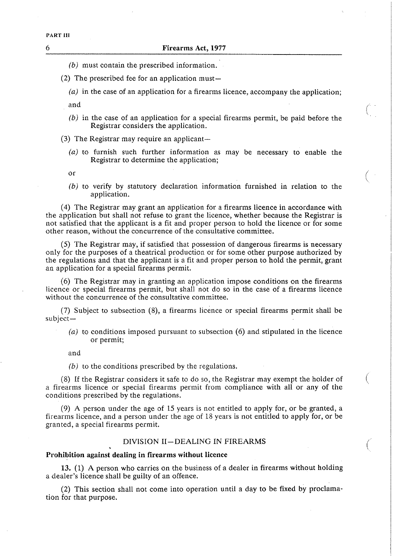6

*(b)* must contain the prescribed information.

(2) The prescribed fee for an application must—

*(a)* in the case of an application for a firearms licence, accompany the application;

and

*(b)* in the case of an application for a special firearms permit, be paid before the Registrar considers the application.

**(3)** The Registrar may require an applicant-

- *(a)* to furnish such further information as may be necessary to enable the Registrar to determine the application;
- or
- *(b)* to verify by statutory declaration information furnished in relation to the application.

(4) The Registrar may grant an application for a firearms licence in accordance with the application but shall not refuse to grant the licence, whether because the Registrar is not satisfied that the applicant is a fit and proper person to hold the licence or for some other reason, without the concurrence of the consultative committee.

(5) The Registrar may, if satisfied that possession of dangerous firearms is necessary only for the purposes of a theatrical production or for some other purpose authorized by the regulations and that the applicant is a fit and proper person to hold the permit, grant an application for a special firearms permit.

(6) The Registrar may in granting an application impose conditions on the firearms licence or special firearms permit, but shall not do so in the case of a firearms licence without the concurrence of the consultative committee.

 $(7)$  Subject to subsection  $(8)$ , a firearms licence or special firearms permit shall be subject-

*(a)* to conditions imposed pursuant to subsection (6) and stipulated in the licence or permit;

and

*(b)* to the conditions prescribed by the regulations.

(8) If the Registrar considers it safe to do so, the Registrar may exempt the holder of a firearms licence or special firearms permit from compliance with all or any of the conditions prescribed by the regulations.

(9) A person under the age of 15 years is not entitled to apply for, or be granted, a firearms licence, and a person under the age of 18 years is not entitled to apply for, or be granted, a special firearms permit.

#### DIVISION II-DEALING IN FIREARMS

#### Prohibition against dealing in firearms without licence

**13.** (1) A person who carries on the business of a dealer in firearms without holding a dealer's licence shall be guilty of an offence.

(2) This section shall not come into operation until a day to be fixed by proclamation for that purpose.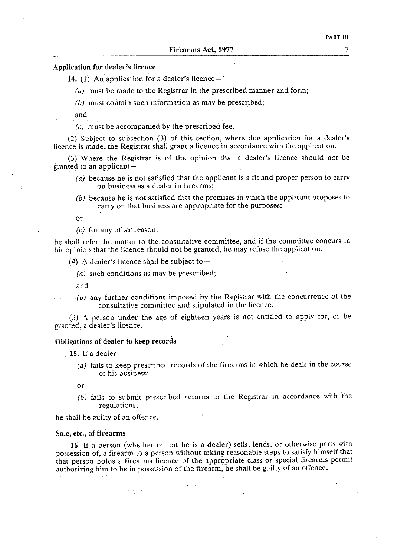#### Application for dealer's licence

14. (1) An application for a dealer's licence-

*(a)* must be made to the Registrar in the prescribed manner and form;

*(b)* must contain such information as may be prescribed;

and

*(c)* must be accompanied by the prescribed fee.

(2) Subject to subsection **(3)** of this section, where due application for a dealer's licence is made, the Registrar shall grant a licence in accordance with the application.

**(3)** Where the Registrar is of the opinion that a dealer's licence should not be granted to an applicant-

- *(a)* because he is not satisfied that the applicant is a fit and proper person to carry on business as a dealer in firearms;
- *(b)* because he is not satisfied that the premises in which the applicant proposes to carry on that business are appropriate for the purposes;
- or
- *(c)* for any other reason,

he shall refer the matter to the consultative committee, and if the committee concurs in his opinion that the licence should not be granted, he may refuse the application.

(4) A dealer's licence shall be subject to  $-$ 

*(a)* such conditions as may be prescribed;

and

 $(b)$  any further conditions imposed by the Registrar with the concurrence of the consultative committee and stipulated in the licence.

(5) A person under the age of eighteen years is not entitled to apply for, or be granted, a dealer's licence.

#### Obligations of dealer to keep records

15. If a dealer- $\overline{\phantom{a}}$ 

- *(a)* fails to keep prescribed records of the firearms in which he deals in the course of his business;
- or
- *(b)* fails to submit prescribed returns to the Registrar in accordance with the regulations,

he shall be guilty of an offence.

 $\label{eq:2.1} \mathcal{L}_{\mathcal{A}}(\mathcal{A}) = \mathcal{L}_{\mathcal{A}}(\mathcal{A}) = \mathcal{L}_{\mathcal{A}}(\mathcal{A}) = \mathcal{L}_{\mathcal{A}}(\mathcal{A})$ 

#### Sale, etc., of firearms

16. If a person (whether or not he is a dealer) sells, lends, or otherwise parts with possession of, a firearm to a person without taking reasonable steps to satisfy himself that that person holds a firearms licence of the appropriate class or special firearms permit authorizing him to be in possession of the firearm, he shall be guilty of an offence.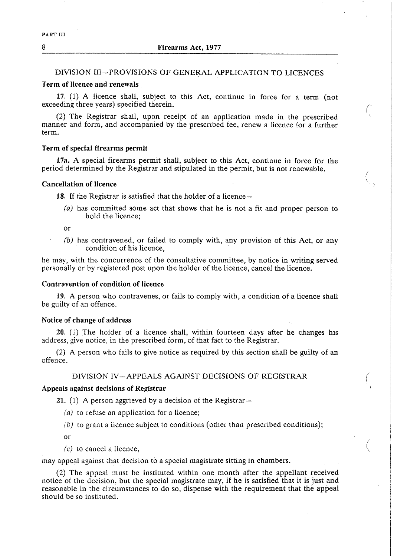## DIVISION 111-PROVISIONS OF GENERAL APPLICATION TO LICENCES

#### Term of licence and renewals

17. (1) A licence shall, subject to this Act, continue in force for a term (not exceeding three years) specified therein.

(2) The Registrar shall, upon receipt of an application made in the prescribed manner and form, and accompanied by the prescribed fee, renew a licence for a further term.

#### Term of special firearms permit

17a. A special firearms permit shall, subject to this Act, continue in force for the period determined by the Registrar and stipulated in the permit, but is not renewable.

#### Cancellation of licence

18. If the Registrar is satisfied that the holder of a licence-

(a) has committed some act that shows that he is not a fit and proper person to hold the licence;

 $\alpha$ r

(b) has contravened, or failed to comply with, any provision of this Act, or any condition of his licence,

he may, with the concurrence of the consultative committee, by notice in writing served personally or by registered post upon the holder of the licence, cancel the licence.

#### Contravention of condition of licence

19. A person who contravenes, or fails to comply with, a condition of a licence shall be guilty of an offence.

#### Notice of change of address

**20.** (1) The holder of a licence shall, within fourteen days after he changes his address, give notice, in the prescribed form. of that fact to the Registrar.

(2) A person who fails to give notice as required by this section shall be guilty of an offence.

#### DIVISION IV-APPEALS AGAINST DECISIONS OF REGISTRAR

#### Appeals against decisions of Registrar

21. (1) A person aggrieved by a decision of the Registrar-

- $(a)$  to refuse an application for a licence;
- (b) to grant a licence subject to conditions (other than prescribed conditions);

or

 $(c)$  to cancel a licence,

may appeal against that decision to a special magistrate sitting in chambers.

(2) The appeal must be instituted within one month after the appellant received notice of the decision, but the special magistrate may, if he is satisfied that it is just and reasonable in the circumstances to do so, dispense with the requirement that the appeal should be so instituted.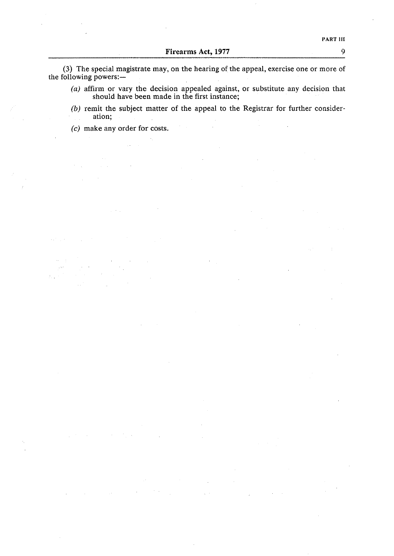**(3)** The special magistrate may, on the hearing of the appeal, exercise one or more of the following powers: $-$ 

- (a) affirm or vary the decision appealed against, or substitute any decision that should have been made in the first instance;
- *(b)* remit the subject matter of the appeal to the Registrar for further consideration;
- *(c)* make any order for costs.

 $\frac{1}{2} \frac{1}{2} \frac{1}{2}$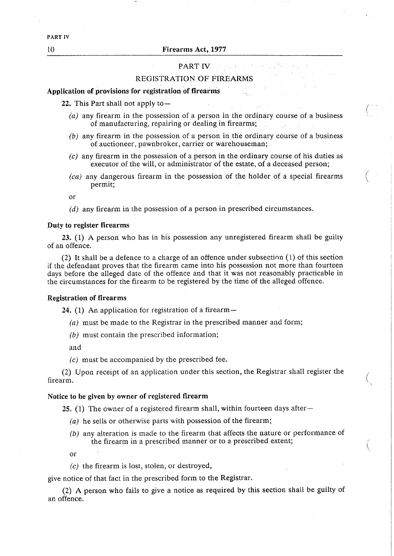#### 10 Firearms Act, **1977**

#### PART IV  $\label{eq:1} \mathcal{O}(\mathcal{N}) \cong \mathcal{O}(\mathcal{O}(\mathcal{N})) \cong \mathcal{O}(\mathcal{N})$

# REGISTRATION OF FIREARMS

#### Application of provisions for registration of firearms

22. This Part shall not apply to $-$ 

- *(a)* any firearm in the possession of a person in the ordinary course of a business of manufacturing, repairing or dealing in firearms;
- *(b)* any firearm in the possession of a person in the ordinary course of a business of auctioneer, pawnbroker, carrier or warehouseman;
- (c) any firearm in the possession of a person in the ordinary course of his duties as executor of the will, or administrator of the estate, of a deceased person;
- (ca) any dangerous firearm in the possession of the holder of a special firearms (permit;

or

(d) any firearm in the possession of a person in prescribed circumstances.

#### Duty to register firearms

**23.** (1) A person who has in his possession any unregistered firearm shall be guilty of an offence.

(2) It shall be a defence to a charge of an offence under subsection (1) of this section if the defendant proves that the firearm came into his possession not more than fourteen days before the alleged date of the offence and that it was not reasonably practicable in the circumstances for the firearm to be registered by the time of the alleged offence.

!

I

I

 $\left( \begin{array}{cc} & & \\ & & \end{array} \right)$ 

\,

#### Registration of firearms <sup>1</sup>

24. (1) An application for registration of a firearm-

*(a)* must be made to the Registrar in the prescribed manner and form;

*(b)* must contain the prescribed information;

and

 $(c)$  must be accompanied by the prescribed fee.

(2) Upon receipt of an application under this section, the Registrar shall register the firearm.

# Notice to be given by owner of registered firearm

25. (1) The owner of a registered firearm shall, within fourteen days after $-$ 

- *(a)* he sells or otherwise parts with possession of the firearm;
- (b) any alteration is made to the firearm that affects the nature or performance of the firearm in a prescribed manner or to a prescribed extent;

or

*(c)* the firearm is lost, stolen, or destroyed,

give notice of that fact in the prescribed form to the Registrar.

(2) A person who fails to give a notice as required by this section shall be guilty of an offence.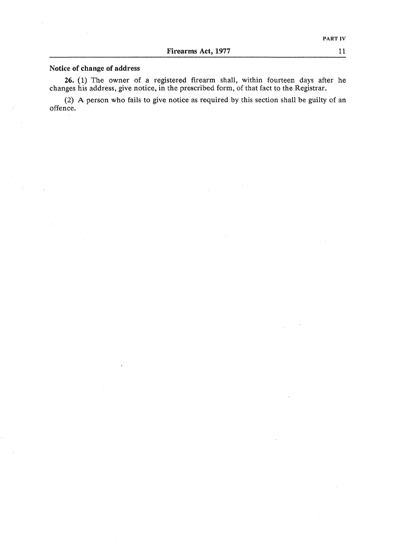# Notice of change of address

**26.** (1) The owner of a registered firearm shall, within fourteen days after he changes his address, give notice, in the prescribed form, of that fact to the Registrar.

(2) **A** person who fails to give notice as required by this section shall be guilty of an offence.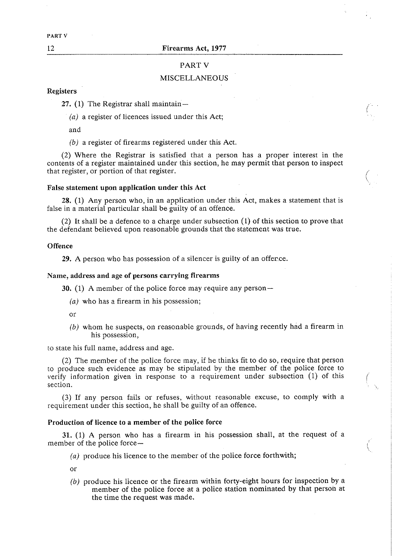#### PART V

#### MISCELLANEOUS

#### Registers

27. (1) The Registrar shall maintain-

(a) a register of licences issued under this Act;

and

*(b)* a register of firearms registered under this Act.

(2) Where the Registrar is satisfied that a person has a proper interest in the contents of a register maintained under this section, he may permit that person to inspect that register, or portion of that register.

#### False statement upon application under this Act

**28.** (1) Any person who, in an application under this Act, makes a statement that is false in a material particular shall be guilty of an offence.

(2) It shall be a defence to a charge under subsection (1) of this section to prove that the defendant believed upon reasonable grounds that the statement was true.

#### **Offence**

**29.** A person who has possession of a silencer is guilty of an offerce.

#### Name, address and age of persons carrying firearms

**30.** (1) A member of the police force may require any person-

- (a) who has a firearm in his possession;
- or
- *(b)* whom he suspects, on reasonable grounds, of having recently had a firearm in his possession,

 $\int_{\mathbb{R}^N}$ 

'I

to state his full name, address and age.

(2) The member of the police force may, if he thinks fit to do so, require that person to produce such evidence as may be stipulated by the member of the police force to verify information given in response to a requirement under subsection (1) of this section.

**(3)** If any person fails or refuses, without reasonable excuse, to comply with a requirement under this section, he shall be guilty of an offence.

#### Production of licence to a member of the police force

**31.** (1) A person who has a firearm in his possession shall, at the request of a member of the police force-

(a) produce his licence to the member of the police force forthwith;

or

*(b)* produce his licence or the firearm within forty-eight hours for inspection by a member of the police force at a police station nominated by that person at the time the request was made.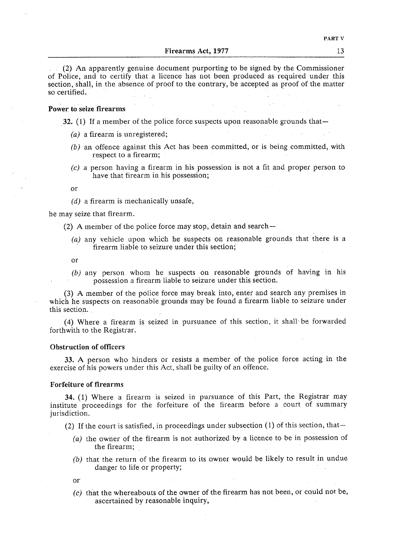Firearms Act, **1977** 13

(2) An apparently genuine document purporting to be signed by the Commissioner of Police, and to certify that a licence has not been produced as required under this section, shall, in the absence of proof to the contrary, be accepted as proof of the matter so certified.

#### Power to seize firearms

**32.** (1) If a member of the police force suspects upon reasonable grounds that—

- *(a)* a firearm is unregistered;
- *(b)* an offence against this Act has been committed, or is being committed, with respect to a firearm;
- *(c)* a person having a firearm in his possession is not a fit and proper person to have that firearm in his possession;

or

(d) a firearm is mechanically unsafe,

he may seize that firearm.

(2) A member of the police force may stop, detain and search-

- *(a)* any vehicle upon which he suspects on reasonable grounds that there is a firearm liable to seizure under this section;
- $\alpha$ <sup>r</sup>
- $(b)$  any person whom he suspects on reasonable grounds of having in his possession a firearm liable to seizure under this section.

(3) A member of the police force may break into, enter and search any premises in which he suspects on reasonable grounds may be found a firearm liable to seizure under this section.

(4) Where a firearm is seized in pursuance of this section, it shall be forwarded forthwith to the Registrar.

#### Obstruction of officers

**33.** A person who hinders or resists a member of the police force acting in the exercise of his powers under this Act, shall be guilty of an offence.

#### Forfeiture of firearms

**34.** (1) Where a firearm is seized in pursuance of this Part, the Registrar may institute proceedings for the forfeiture of the firearm before a court of summary jurisdiction.

(2) If the court is satisfied, in proceedings under subsection  $(1)$  of this section, that-

- *(a)* the owner of the firearm is not authorized by a licence to be in possession of the firearm;
- *(b)* that the return of the firearm to its owner would be likely to result in undue danger to life or property;
- or
- *(c)* that the whereabouts of the owner of the firearm has not been, or could not be, ascertained by reasonable inquiry,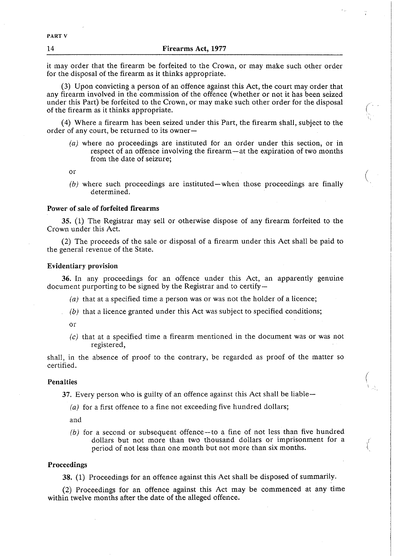it may order that the firearm be forfeited to the Crown, or may make such other order for the disposal of the firearm as it thinks appropriate.

**(3)** Upon convicting a person of an offence against this Act, the court may order that any firearm involved in the commission of the offence (whether or not it has been seized under this Part) be forfeited to the Crown, or may make such other order for the disposal of the firearm as it thinks appropriate.

(4) Where a firearm has been seized under this Part, the firearm shall, subject to the order of any court, be returned to its owner-

*(a)* where no proceedings are instituted for an order under this section, or in respect of an offence involving the firearm—at the expiration of two months from the date of seizure;

 $\alpha$ r

*(b)* where such proceedings are instituted-when those proceedings are finally determined.

## Power of sale of forfeited firearms

**35.** (1) The Registrar may sell or otherwise dispose of any firearm forfeited to the Crown under this Act.

(2) The proceeds of the sale or disposal of a firearm under this Act shall be paid to the general revenue of the State.

#### Evidentiary provision

**36.** In any proceedings for an offence under this Act, an apparently genuine document purporting to be signed by the Registrar and to certify-

- (a) that at a specified time a person was or was not the holder of a licence;
- *(b)* that a licence granted under this Act was subject to specified conditions;

or

 $(c)$  that at a specified time a firearm mentioned in the document was or was not registered,

shall, in the absence of proof to the contrary, be regarded as proof of the matter so certified.

#### Penalties

**37.** Every person who is guilty of an offence against this Act shall be liable-

*(a)* for a first offence to a fine not exceeding five hundred dollars;

and

*(b)* for a second or subsequent offence-to a fine of not less than five hundred dollars but not more than two thousand dollars or imprisonment for a period of not less than one month but not more than six months.

#### Proceedings

**38.** (1) Proceedings for an offence against this Act shall be disposed of summarily.

(2) Proceedings for an offence against this Act may be commenced at any time within twelve months after the date of the alleged offence.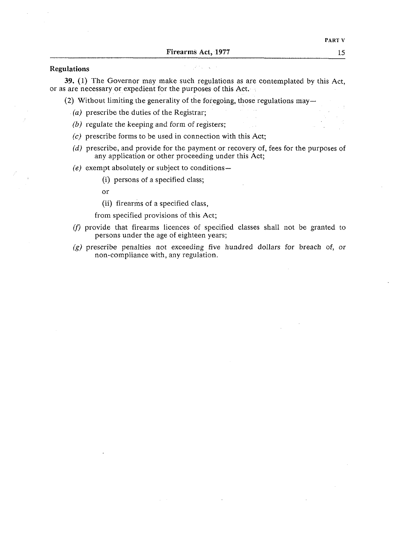#### *Regulations*

**39.** (1) The Governor may make such regulations as are contemplated by this Act, or as are necessary or expedient for the purposes of this Act.

(2) Without limiting the generality of the foregoing, those regulations may—

(a) prescribe the duties of the Registrar;

- $(b)$  regulate the keeping and form of registers;
- $(c)$  prescribe forms to be used in connection with this Act;
- (d) prescribe, and provide for the payment or recovery of, fees for the purposes of any application or other proceeding under this Act;
- *(e)* exempt absolutely or subject to conditions-
	- (i) persons of a specified class;

or

(ii) firearms of a specified class,

from specified provisions of this Act;

- (fj provide that firearms licences of specified classes shall not be granted to persons under the age of eighteen years;
- (g) prescribe penalties not exceeding five hundred dollars for breach of, or non-compliance with, any regulation.